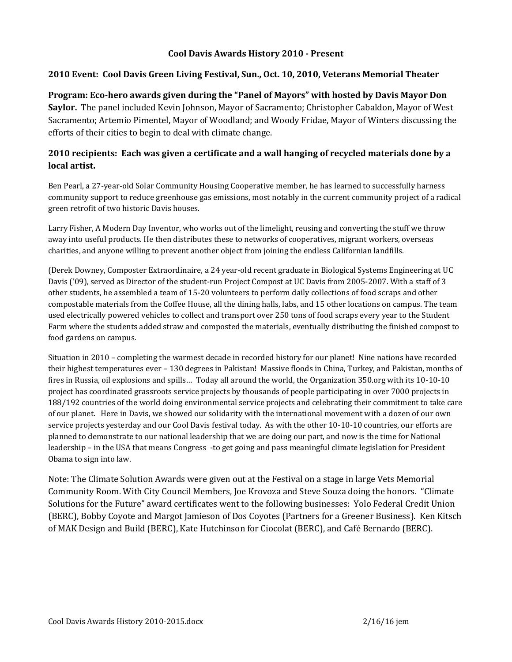### **Cool Davis Awards History 2010 - Present**

### **2010 Event: Cool Davis Green Living Festival, Sun., Oct. 10, 2010, Veterans Memorial Theater**

**Program: Eco-hero awards given during the "Panel of Mayors" with hosted by Davis Mayor Don Saylor.** The panel included Kevin Johnson, Mayor of Sacramento; Christopher Cabaldon, Mayor of West Sacramento; Artemio Pimentel, Mayor of Woodland; and Woody Fridae, Mayor of Winters discussing the efforts of their cities to begin to deal with climate change.

# **2010 recipients: Each was given a certificate and a wall hanging of recycled materials done by a local artist.**

Ben Pearl, a 27-year-old Solar Community Housing Cooperative member, he has learned to successfully harness community support to reduce greenhouse gas emissions, most notably in the current community project of a radical green retrofit of two historic Davis houses.

Larry Fisher, A Modern Day Inventor, who works out of the limelight, reusing and converting the stuff we throw away into useful products. He then distributes these to networks of cooperatives, migrant workers, overseas charities, and anyone willing to prevent another object from joining the endless Californian landfills.

(Derek Downey, Composter Extraordinaire, a 24 year-old recent graduate in Biological Systems Engineering at UC Davis ('09), served as Director of the student-run Project Compost at UC Davis from 2005-2007. With a staff of 3 other students, he assembled a team of 15-20 volunteers to perform daily collections of food scraps and other compostable materials from the Coffee House, all the dining halls, labs, and 15 other locations on campus. The team used electrically powered vehicles to collect and transport over 250 tons of food scraps every year to the Student Farm where the students added straw and composted the materials, eventually distributing the finished compost to food gardens on campus.

Situation in 2010 – completing the warmest decade in recorded history for our planet! Nine nations have recorded their highest temperatures ever – 130 degrees in Pakistan! Massive floods in China, Turkey, and Pakistan, months of fires in Russia, oil explosions and spills… Today all around the world, the Organization 350.org with its 10-10-10 project has coordinated grassroots service projects by thousands of people participating in over 7000 projects in 188/192 countries of the world doing environmental service projects and celebrating their commitment to take care of our planet. Here in Davis, we showed our solidarity with the international movement with a dozen of our own service projects yesterday and our Cool Davis festival today. As with the other 10-10-10 countries, our efforts are planned to demonstrate to our national leadership that we are doing our part, and now is the time for National leadership – in the USA that means Congress -to get going and pass meaningful climate legislation for President Obama to sign into law.

Note: The Climate Solution Awards were given out at the Festival on a stage in large Vets Memorial Community Room. With City Council Members, Joe Krovoza and Steve Souza doing the honors. "Climate Solutions for the Future" award certificates went to the following businesses: Yolo Federal Credit Union (BERC), Bobby Coyote and Margot Jamieson of Dos Coyotes (Partners for a Greener Business). Ken Kitsch of MAK Design and Build (BERC), Kate Hutchinson for Ciocolat (BERC), and Café Bernardo (BERC).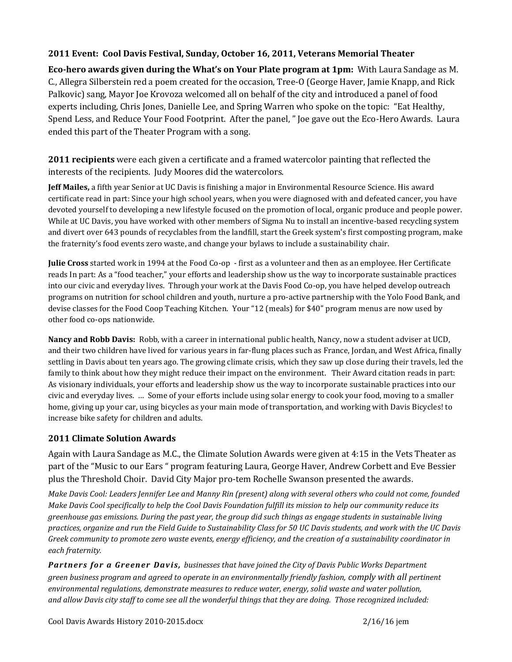## **2011 Event: Cool Davis Festival, Sunday, October 16, 2011, Veterans Memorial Theater**

**Eco-hero awards given during the What's on Your Plate program at 1pm:** With Laura Sandage as M. C., Allegra Silberstein red a poem created for the occasion, Tree-O (George Haver, Jamie Knapp, and Rick Palkovic) sang, Mayor Joe Krovoza welcomed all on behalf of the city and introduced a panel of food experts including, Chris Jones, Danielle Lee, and Spring Warren who spoke on the topic: "Eat Healthy, Spend Less, and Reduce Your Food Footprint. After the panel, " Joe gave out the Eco-Hero Awards. Laura ended this part of the Theater Program with a song.

**2011 recipients** were each given a certificate and a framed watercolor painting that reflected the interests of the recipients. Judy Moores did the watercolors.

**Jeff Mailes,** a fifth year Senior at UC Davis is finishing a major in Environmental Resource Science. His award certificate read in part: Since your high school years, when you were diagnosed with and defeated cancer, you have devoted yourself to developing a new lifestyle focused on the promotion of local, organic produce and people power. While at UC Davis, you have worked with other members of Sigma Nu to install an incentive-based recycling system and divert over 643 pounds of recyclables from the landfill, start the Greek system's first composting program, make the fraternity's food events zero waste, and change your bylaws to include a sustainability chair.

**Julie Cross** started work in 1994 at the Food Co-op - first as a volunteer and then as an employee. Her Certificate reads In part: As a "food teacher," your efforts and leadership show us the way to incorporate sustainable practices into our civic and everyday lives. Through your work at the Davis Food Co-op, you have helped develop outreach programs on nutrition for school children and youth, nurture a pro-active partnership with the Yolo Food Bank, and devise classes for the Food Coop Teaching Kitchen. Your "12 (meals) for \$40" program menus are now used by other food co-ops nationwide.

**Nancy and Robb Davis:** Robb, with a career in international public health, Nancy, now a student adviser at UCD, and their two children have lived for various years in far-flung places such as France, Jordan, and West Africa, finally settling in Davis about ten years ago. The growing climate crisis, which they saw up close during their travels, led the family to think about how they might reduce their impact on the environment. Their Award citation reads in part: As visionary individuals, your efforts and leadership show us the way to incorporate sustainable practices into our civic and everyday lives. … Some of your efforts include using solar energy to cook your food, moving to a smaller home, giving up your car, using bicycles as your main mode of transportation, and working with Davis Bicycles! to increase bike safety for children and adults.

### **2011 Climate Solution Awards**

Again with Laura Sandage as M.C., the Climate Solution Awards were given at 4:15 in the Vets Theater as part of the "Music to our Ears " program featuring Laura, George Haver, Andrew Corbett and Eve Bessier plus the Threshold Choir. David City Major pro-tem Rochelle Swanson presented the awards.

*Make Davis Cool: Leaders Jennifer Lee and Manny Rin (present) along with several others who could not come, founded Make Davis Cool specifically to help the Cool Davis Foundation fulfill its mission to help our community reduce its greenhouse gas emissions. During the past year, the group did such things as engage students in sustainable living practices, organize and run the Field Guide to Sustainability Class for 50 UC Davis students, and work with the UC Davis Greek community to promote zero waste events, energy efficiency, and the creation of a sustainability coordinator in each fraternity.* 

**Partners for a Greener Davis,** businesses that have joined the City of Davis Public Works Department *green business program and agreed to operate in an environmentally friendly fashion, comply with all pertinent environmental regulations, demonstrate measures to reduce water, energy, solid waste and water pollution, and allow Davis city staff to come see all the wonderful things that they are doing. Those recognized included:*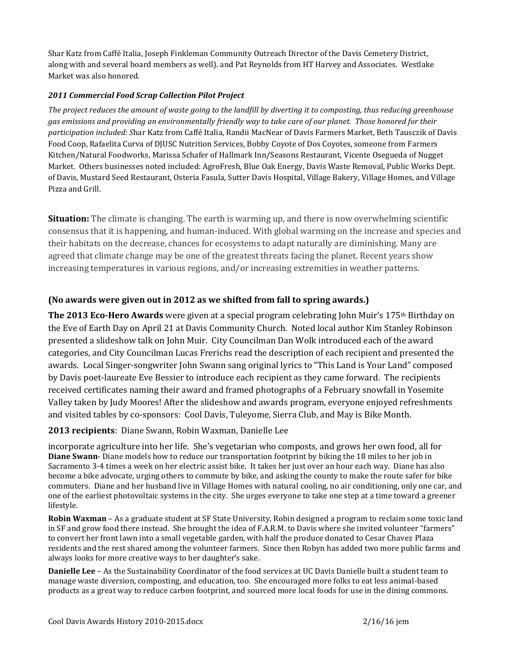Shar Katz from Caffé Italia, Joseph Finkleman Community Outreach Director of the Davis Cemetery District, along with and several board members as well). and Pat Reynolds from HT Harvey and Associates. Westlake Market was also honored.

### *2011 Commercial Food Scrap Collection Pilot Project*

*The project reduces the amount of waste going to the landfill by diverting it to composting, thus reducing greenhouse gas emissions and providing an environmentally friendly way to take care of our planet. Those honored for their participation included: S*har Katz from Caffé Italia, Randii MacNear of Davis Farmers Market, Beth Tausczik of Davis Food Coop, Rafaelita Curva of DJUSC Nutrition Services, Bobby Coyote of Dos Coyotes, someone from Farmers Kitchen/Natural Foodworks, Marissa Schafer of Hallmark Inn/Seasons Restaurant, Vicente Osegueda of Nugget Market. Others businesses noted included: AgroFresh, Blue Oak Energy, Davis Waste Removal, Public Works Dept. of Davis, Mustard Seed Restaurant, Osteria Fasula, Sutter Davis Hospital, Village Bakery, Village Homes, and Village Pizza and Grill.

**Situation:** The climate is changing. The earth is warming up, and there is now overwhelming scientific consensus that it is happening, and human-induced. With global warming on the increase and species and their habitats on the decrease, chances for ecosystems to adapt naturally are diminishing. Many are agreed that climate change may be one of the greatest threats facing the planet. Recent years show increasing temperatures in various regions, and/or increasing extremities in weather patterns.

## **(No awards were given out in 2012 as we shifted from fall to spring awards.)**

**The 2013 Eco-Hero Awards** were given at a special program celebrating John Muir's 175th Birthday on the Eve of Earth Day on April 21 at Davis Community Church. Noted local author Kim Stanley Robinson presented a slideshow talk on John Muir. City Councilman Dan Wolk introduced each of the award categories, and City Councilman Lucas Frerichs read the description of each recipient and presented the awards. Local Singer-songwriter John Swann sang original lyrics to "This Land is Your Land" composed by Davis poet-laureate Eve Bessier to introduce each recipient as they came forward. The recipients received certificates naming their award and framed photographs of a February snowfall in Yosemite Valley taken by Judy Moores! After the slideshow and awards program, everyone enjoyed refreshments and visited tables by co-sponsors: Cool Davis, Tuleyome, Sierra Club, and May is Bike Month.

### **2013 recipients**: Diane Swann, Robin Waxman, Danielle Lee

incorporate agriculture into her life. She's vegetarian who composts, and grows her own food, all for **Diane Swann**- Diane models how to reduce our transportation footprint by biking the 18 miles to her job in Sacramento 3-4 times a week on her electric assist bike. It takes her just over an hour each way. Diane has also become a bike advocate, urging others to commute by bike, and asking the county to make the route safer for bike commuters. Diane and her husband live in Village Homes with natural cooling, no air conditioning, only one car, and one of the earliest photovoltaic systems in the city. She urges everyone to take one step at a time toward a greener lifestyle.

**Robin Waxman** – As a graduate student at SF State University, Robin designed a program to reclaim some toxic land in SF and grow food there instead. She brought the idea of F.A.R.M. to Davis where she invited volunteer "farmers" to convert her front lawn into a small vegetable garden, with half the produce donated to Cesar Chavez Plaza residents and the rest shared among the volunteer farmers. Since then Robyn has added two more public farms and always looks for more creative ways to her daughter's sake.

**Danielle Lee** – As the Sustainability Coordinator of the food services at UC Davis Danielle built a student team to manage waste diversion, composting, and education, too. She encouraged more folks to eat less animal-based products as a great way to reduce carbon footprint, and sourced more local foods for use in the dining commons.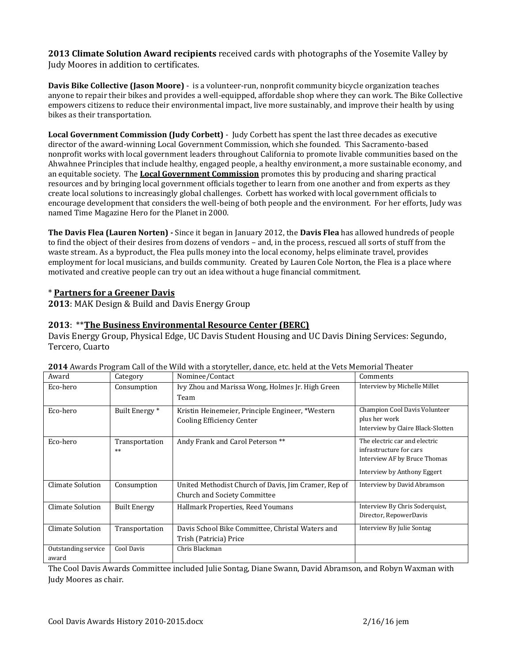**2013 Climate Solution Award recipients** received cards with photographs of the Yosemite Valley by Judy Moores in addition to certificates.

**Davis Bike Collective (Jason Moore)** - is a volunteer-run, nonprofit community bicycle organization teaches anyone to repair their bikes and provides a well-equipped, affordable shop where they can work. The Bike Collective empowers citizens to reduce their environmental impact, live more sustainably, and improve their health by using bikes as their transportation.

**Local Government Commission (Judy Corbett)** - Judy Corbett has spent the last three decades as executive director of the award-winning Local Government Commission, which she founded. This Sacramento-based nonprofit works with local government leaders throughout California to promote livable communities based on the Ahwahnee Principles that include healthy, engaged people, a healthy environment, a more sustainable economy, and an equitable society. The **Local Government Commission** promotes this by producing and sharing practical resources and by bringing local government officials together to learn from one another and from experts as they create local solutions to increasingly global challenges. Corbett has worked with local government officials to encourage development that considers the well-being of both people and the environment. For her efforts, Judy was named Time Magazine Hero for the Planet in 2000.

**The Davis Flea (Lauren Norten) -** Since it began in January 2012, the **Davis Flea** has allowed hundreds of people to find the object of their desires from dozens of vendors – and, in the process, rescued all sorts of stuff from the waste stream. As a byproduct, the Flea pulls money into the local economy, helps eliminate travel, provides employment for local musicians, and builds community. Created by Lauren Cole Norton, the Flea is a place where motivated and creative people can try out an idea without a huge financial commitment.

### \* **Partners for a Greener Davis**

**2013**: MAK Design & Build and Davis Energy Group

### **2013**: \*\***The Business Environmental Resource Center (BERC)**

Davis Energy Group, Physical Edge, UC Davis Student Housing and UC Davis Dining Services: Segundo, Tercero, Cuarto

| Award                        | Category               | Nominee/Contact                                                                                         | Comments                                                                                                                |
|------------------------------|------------------------|---------------------------------------------------------------------------------------------------------|-------------------------------------------------------------------------------------------------------------------------|
| Eco-hero                     | Consumption            | Interview by Michelle Millet<br>Ivy Zhou and Marissa Wong, Holmes Jr. High Green<br>Team                |                                                                                                                         |
| Eco-hero                     | Built Energy*          | Kristin Heinemeier, Principle Engineer, *Western<br><b>Cooling Efficiency Center</b>                    | Champion Cool Davis Volunteer<br>plus her work<br>Interview by Claire Black-Slotten                                     |
| Eco-hero                     | Transportation<br>$**$ | Andy Frank and Carol Peterson **                                                                        | The electric car and electric<br>infrastructure for cars<br>Interview AF by Bruce Thomas<br>Interview by Anthony Eggert |
| Climate Solution             | Consumption            | United Methodist Church of Davis, Jim Cramer, Rep of<br><b>Church and Society Committee</b>             | Interview by David Abramson                                                                                             |
| Climate Solution             | <b>Built Energy</b>    | Hallmark Properties, Reed Youmans                                                                       | Interview By Chris Soderquist,<br>Director, RepowerDavis                                                                |
| Climate Solution             | Transportation         | Interview By Julie Sontag<br>Davis School Bike Committee, Christal Waters and<br>Trish (Patricia) Price |                                                                                                                         |
| Outstanding service<br>award | Cool Davis             | Chris Blackman                                                                                          |                                                                                                                         |

The Cool Davis Awards Committee included Julie Sontag, Diane Swann, David Abramson, and Robyn Waxman with Judy Moores as chair.